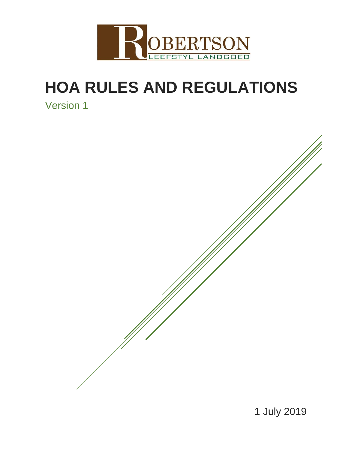

# **HOA RULES AND REGULATIONS**

Version 1

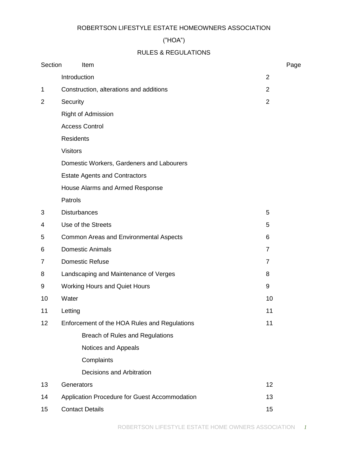## ROBERTSON LIFESTYLE ESTATE HOMEOWNERS ASSOCIATION

# ("HOA")

# RULES & REGULATIONS

| Section | Item                                          |                | Page |
|---------|-----------------------------------------------|----------------|------|
|         | Introduction                                  | $\overline{2}$ |      |
| 1       | Construction, alterations and additions       | 2              |      |
| 2       | Security                                      | $\overline{2}$ |      |
|         | <b>Right of Admission</b>                     |                |      |
|         | <b>Access Control</b>                         |                |      |
|         | <b>Residents</b>                              |                |      |
|         | <b>Visitors</b>                               |                |      |
|         | Domestic Workers, Gardeners and Labourers     |                |      |
|         | <b>Estate Agents and Contractors</b>          |                |      |
|         | House Alarms and Armed Response               |                |      |
|         | Patrols                                       |                |      |
| 3       | <b>Disturbances</b>                           | 5              |      |
| 4       | Use of the Streets                            | 5              |      |
| 5       | Common Areas and Environmental Aspects        | 6              |      |
| 6       | <b>Domestic Animals</b>                       | $\overline{7}$ |      |
| 7       | <b>Domestic Refuse</b>                        | $\overline{7}$ |      |
| 8       | Landscaping and Maintenance of Verges         | 8              |      |
| 9       | <b>Working Hours and Quiet Hours</b>          | 9              |      |
| 10      | Water                                         | 10             |      |
| 11      | Letting                                       | 11             |      |
| 12      | Enforcement of the HOA Rules and Regulations  | 11             |      |
|         | Breach of Rules and Regulations               |                |      |
|         | Notices and Appeals                           |                |      |
|         | Complaints                                    |                |      |
|         | Decisions and Arbitration                     |                |      |
| 13      | Generators                                    | 12             |      |
| 14      | Application Procedure for Guest Accommodation | 13             |      |
| 15      | <b>Contact Details</b>                        | 15             |      |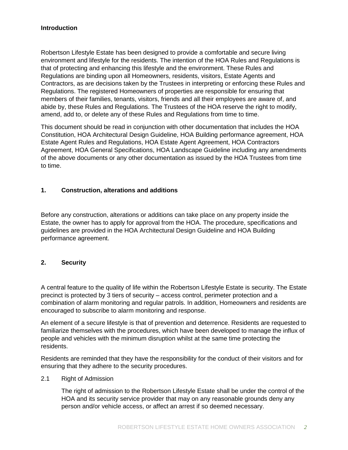# **Introduction**

Robertson Lifestyle Estate has been designed to provide a comfortable and secure living environment and lifestyle for the residents. The intention of the HOA Rules and Regulations is that of protecting and enhancing this lifestyle and the environment. These Rules and Regulations are binding upon all Homeowners, residents, visitors, Estate Agents and Contractors, as are decisions taken by the Trustees in interpreting or enforcing these Rules and Regulations. The registered Homeowners of properties are responsible for ensuring that members of their families, tenants, visitors, friends and all their employees are aware of, and abide by, these Rules and Regulations. The Trustees of the HOA reserve the right to modify, amend, add to, or delete any of these Rules and Regulations from time to time.

This document should be read in conjunction with other documentation that includes the HOA Constitution, HOA Architectural Design Guideline, HOA Building performance agreement, HOA Estate Agent Rules and Regulations, HOA Estate Agent Agreement, HOA Contractors Agreement, HOA General Specifications, HOA Landscape Guideline including any amendments of the above documents or any other documentation as issued by the HOA Trustees from time to time.

# **1. Construction, alterations and additions**

Before any construction, alterations or additions can take place on any property inside the Estate, the owner has to apply for approval from the HOA. The procedure, specifications and guidelines are provided in the HOA Architectural Design Guideline and HOA Building performance agreement.

## **2. Security**

A central feature to the quality of life within the Robertson Lifestyle Estate is security. The Estate precinct is protected by 3 tiers of security – access control, perimeter protection and a combination of alarm monitoring and regular patrols. In addition, Homeowners and residents are encouraged to subscribe to alarm monitoring and response.

An element of a secure lifestyle is that of prevention and deterrence. Residents are requested to familiarize themselves with the procedures, which have been developed to manage the influx of people and vehicles with the minimum disruption whilst at the same time protecting the residents.

Residents are reminded that they have the responsibility for the conduct of their visitors and for ensuring that they adhere to the security procedures.

2.1 Right of Admission

The right of admission to the Robertson Lifestyle Estate shall be under the control of the HOA and its security service provider that may on any reasonable grounds deny any person and/or vehicle access, or affect an arrest if so deemed necessary.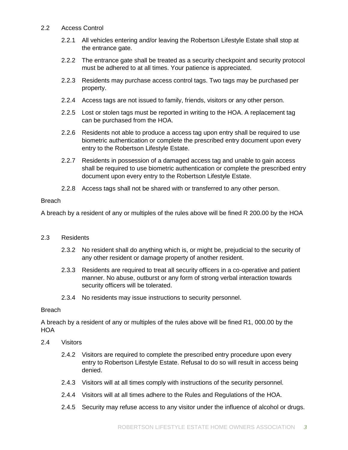#### 2.2 Access Control

- 2.2.1 All vehicles entering and/or leaving the Robertson Lifestyle Estate shall stop at the entrance gate.
- 2.2.2 The entrance gate shall be treated as a security checkpoint and security protocol must be adhered to at all times. Your patience is appreciated.
- 2.2.3 Residents may purchase access control tags. Two tags may be purchased per property.
- 2.2.4 Access tags are not issued to family, friends, visitors or any other person.
- 2.2.5 Lost or stolen tags must be reported in writing to the HOA. A replacement tag can be purchased from the HOA.
- 2.2.6 Residents not able to produce a access tag upon entry shall be required to use biometric authentication or complete the prescribed entry document upon every entry to the Robertson Lifestyle Estate.
- 2.2.7 Residents in possession of a damaged access tag and unable to gain access shall be required to use biometric authentication or complete the prescribed entry document upon every entry to the Robertson Lifestyle Estate.
- 2.2.8 Access tags shall not be shared with or transferred to any other person.

#### **Breach**

A breach by a resident of any or multiples of the rules above will be fined R 200.00 by the HOA

## 2.3 Residents

- 2.3.2 No resident shall do anything which is, or might be, prejudicial to the security of any other resident or damage property of another resident.
- 2.3.3 Residents are required to treat all security officers in a co-operative and patient manner. No abuse, outburst or any form of strong verbal interaction towards security officers will be tolerated.
- 2.3.4 No residents may issue instructions to security personnel.

#### Breach

A breach by a resident of any or multiples of the rules above will be fined R1, 000.00 by the HOA

## 2.4 Visitors

- 2.4.2 Visitors are required to complete the prescribed entry procedure upon every entry to Robertson Lifestyle Estate. Refusal to do so will result in access being denied.
- 2.4.3 Visitors will at all times comply with instructions of the security personnel.
- 2.4.4 Visitors will at all times adhere to the Rules and Regulations of the HOA.
- 2.4.5 Security may refuse access to any visitor under the influence of alcohol or drugs.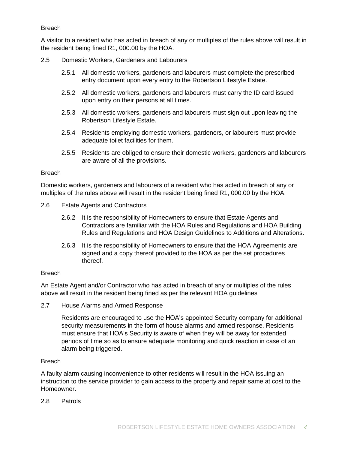## Breach

A visitor to a resident who has acted in breach of any or multiples of the rules above will result in the resident being fined R1, 000.00 by the HOA.

# 2.5 Domestic Workers, Gardeners and Labourers

- 2.5.1 All domestic workers, gardeners and labourers must complete the prescribed entry document upon every entry to the Robertson Lifestyle Estate.
- 2.5.2 All domestic workers, gardeners and labourers must carry the ID card issued upon entry on their persons at all times.
- 2.5.3 All domestic workers, gardeners and labourers must sign out upon leaving the Robertson Lifestyle Estate.
- 2.5.4 Residents employing domestic workers, gardeners, or labourers must provide adequate toilet facilities for them.
- 2.5.5 Residents are obliged to ensure their domestic workers, gardeners and labourers are aware of all the provisions.

#### Breach

Domestic workers, gardeners and labourers of a resident who has acted in breach of any or multiples of the rules above will result in the resident being fined R1, 000.00 by the HOA.

- 2.6 Estate Agents and Contractors
	- 2.6.2 It is the responsibility of Homeowners to ensure that Estate Agents and Contractors are familiar with the HOA Rules and Regulations and HOA Building Rules and Regulations and HOA Design Guidelines to Additions and Alterations.
	- 2.6.3 It is the responsibility of Homeowners to ensure that the HOA Agreements are signed and a copy thereof provided to the HOA as per the set procedures thereof.

## **Breach**

An Estate Agent and/or Contractor who has acted in breach of any or multiples of the rules above will result in the resident being fined as per the relevant HOA guidelines

2.7 House Alarms and Armed Response

Residents are encouraged to use the HOA's appointed Security company for additional security measurements in the form of house alarms and armed response. Residents must ensure that HOA's Security is aware of when they will be away for extended periods of time so as to ensure adequate monitoring and quick reaction in case of an alarm being triggered.

## Breach

A faulty alarm causing inconvenience to other residents will result in the HOA issuing an instruction to the service provider to gain access to the property and repair same at cost to the Homeowner.

2.8 Patrols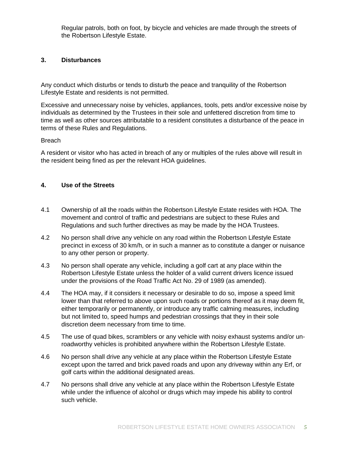Regular patrols, both on foot, by bicycle and vehicles are made through the streets of the Robertson Lifestyle Estate.

## **3. Disturbances**

Any conduct which disturbs or tends to disturb the peace and tranquility of the Robertson Lifestyle Estate and residents is not permitted.

Excessive and unnecessary noise by vehicles, appliances, tools, pets and/or excessive noise by individuals as determined by the Trustees in their sole and unfettered discretion from time to time as well as other sources attributable to a resident constitutes a disturbance of the peace in terms of these Rules and Regulations.

#### Breach

A resident or visitor who has acted in breach of any or multiples of the rules above will result in the resident being fined as per the relevant HOA guidelines.

## **4. Use of the Streets**

- 4.1 Ownership of all the roads within the Robertson Lifestyle Estate resides with HOA. The movement and control of traffic and pedestrians are subject to these Rules and Regulations and such further directives as may be made by the HOA Trustees.
- 4.2 No person shall drive any vehicle on any road within the Robertson Lifestyle Estate precinct in excess of 30 km/h, or in such a manner as to constitute a danger or nuisance to any other person or property.
- 4.3 No person shall operate any vehicle, including a golf cart at any place within the Robertson Lifestyle Estate unless the holder of a valid current drivers licence issued under the provisions of the Road Traffic Act No. 29 of 1989 (as amended).
- 4.4 The HOA may, if it considers it necessary or desirable to do so, impose a speed limit lower than that referred to above upon such roads or portions thereof as it may deem fit, either temporarily or permanently, or introduce any traffic calming measures, including but not limited to, speed humps and pedestrian crossings that they in their sole discretion deem necessary from time to time.
- 4.5 The use of quad bikes, scramblers or any vehicle with noisy exhaust systems and/or unroadworthy vehicles is prohibited anywhere within the Robertson Lifestyle Estate.
- 4.6 No person shall drive any vehicle at any place within the Robertson Lifestyle Estate except upon the tarred and brick paved roads and upon any driveway within any Erf, or golf carts within the additional designated areas.
- 4.7 No persons shall drive any vehicle at any place within the Robertson Lifestyle Estate while under the influence of alcohol or drugs which may impede his ability to control such vehicle.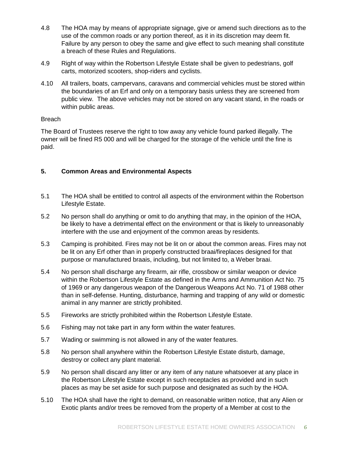- 4.8 The HOA may by means of appropriate signage, give or amend such directions as to the use of the common roads or any portion thereof, as it in its discretion may deem fit. Failure by any person to obey the same and give effect to such meaning shall constitute a breach of these Rules and Regulations.
- 4.9 Right of way within the Robertson Lifestyle Estate shall be given to pedestrians, golf carts, motorized scooters, shop-riders and cyclists.
- 4.10 All trailers, boats, campervans, caravans and commercial vehicles must be stored within the boundaries of an Erf and only on a temporary basis unless they are screened from public view. The above vehicles may not be stored on any vacant stand, in the roads or within public areas.

## Breach

The Board of Trustees reserve the right to tow away any vehicle found parked illegally. The owner will be fined R5 000 and will be charged for the storage of the vehicle until the fine is paid.

# **5. Common Areas and Environmental Aspects**

- 5.1 The HOA shall be entitled to control all aspects of the environment within the Robertson Lifestyle Estate.
- 5.2 No person shall do anything or omit to do anything that may, in the opinion of the HOA, be likely to have a detrimental effect on the environment or that is likely to unreasonably interfere with the use and enjoyment of the common areas by residents.
- 5.3 Camping is prohibited. Fires may not be lit on or about the common areas. Fires may not be lit on any Erf other than in properly constructed braai/fireplaces designed for that purpose or manufactured braais, including, but not limited to, a Weber braai.
- 5.4 No person shall discharge any firearm, air rifle, crossbow or similar weapon or device within the Robertson Lifestyle Estate as defined in the Arms and Ammunition Act No. 75 of 1969 or any dangerous weapon of the Dangerous Weapons Act No. 71 of 1988 other than in self-defense. Hunting, disturbance, harming and trapping of any wild or domestic animal in any manner are strictly prohibited.
- 5.5 Fireworks are strictly prohibited within the Robertson Lifestyle Estate.
- 5.6 Fishing may not take part in any form within the water features.
- 5.7 Wading or swimming is not allowed in any of the water features.
- 5.8 No person shall anywhere within the Robertson Lifestyle Estate disturb, damage, destroy or collect any plant material.
- 5.9 No person shall discard any litter or any item of any nature whatsoever at any place in the Robertson Lifestyle Estate except in such receptacles as provided and in such places as may be set aside for such purpose and designated as such by the HOA.
- 5.10 The HOA shall have the right to demand, on reasonable written notice, that any Alien or Exotic plants and/or trees be removed from the property of a Member at cost to the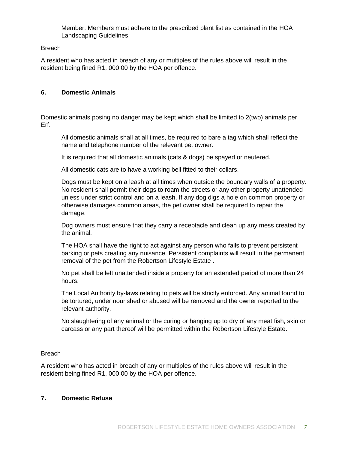Member. Members must adhere to the prescribed plant list as contained in the HOA Landscaping Guidelines

## Breach

A resident who has acted in breach of any or multiples of the rules above will result in the resident being fined R1, 000.00 by the HOA per offence.

#### **6. Domestic Animals**

Domestic animals posing no danger may be kept which shall be limited to 2(two) animals per Erf.

All domestic animals shall at all times, be required to bare a tag which shall reflect the name and telephone number of the relevant pet owner.

It is required that all domestic animals (cats & dogs) be spayed or neutered.

All domestic cats are to have a working bell fitted to their collars.

Dogs must be kept on a leash at all times when outside the boundary walls of a property. No resident shall permit their dogs to roam the streets or any other property unattended unless under strict control and on a leash. If any dog digs a hole on common property or otherwise damages common areas, the pet owner shall be required to repair the damage.

Dog owners must ensure that they carry a receptacle and clean up any mess created by the animal.

The HOA shall have the right to act against any person who fails to prevent persistent barking or pets creating any nuisance. Persistent complaints will result in the permanent removal of the pet from the Robertson Lifestyle Estate .

No pet shall be left unattended inside a property for an extended period of more than 24 hours.

The Local Authority by-laws relating to pets will be strictly enforced. Any animal found to be tortured, under nourished or abused will be removed and the owner reported to the relevant authority.

No slaughtering of any animal or the curing or hanging up to dry of any meat fish, skin or carcass or any part thereof will be permitted within the Robertson Lifestyle Estate.

## **Breach**

A resident who has acted in breach of any or multiples of the rules above will result in the resident being fined R1, 000.00 by the HOA per offence.

#### **7. Domestic Refuse**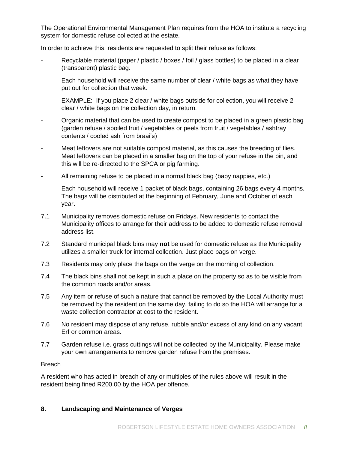The Operational Environmental Management Plan requires from the HOA to institute a recycling system for domestic refuse collected at the estate.

In order to achieve this, residents are requested to split their refuse as follows:

Recyclable material (paper / plastic / boxes / foil / glass bottles) to be placed in a clear (transparent) plastic bag.

Each household will receive the same number of clear / white bags as what they have put out for collection that week.

EXAMPLE: If you place 2 clear / white bags outside for collection, you will receive 2 clear / white bags on the collection day, in return.

- Organic material that can be used to create compost to be placed in a green plastic bag (garden refuse / spoiled fruit / vegetables or peels from fruit / vegetables / ashtray contents / cooled ash from braai's)
- Meat leftovers are not suitable compost material, as this causes the breeding of flies. Meat leftovers can be placed in a smaller bag on the top of your refuse in the bin, and this will be re-directed to the SPCA or pig farming.
- All remaining refuse to be placed in a normal black bag (baby nappies, etc.)

Each household will receive 1 packet of black bags, containing 26 bags every 4 months. The bags will be distributed at the beginning of February, June and October of each year.

- 7.1 Municipality removes domestic refuse on Fridays. New residents to contact the Municipality offices to arrange for their address to be added to domestic refuse removal address list.
- 7.2 Standard municipal black bins may **not** be used for domestic refuse as the Municipality utilizes a smaller truck for internal collection. Just place bags on verge.
- 7.3 Residents may only place the bags on the verge on the morning of collection.
- 7.4 The black bins shall not be kept in such a place on the property so as to be visible from the common roads and/or areas.
- 7.5 Any item or refuse of such a nature that cannot be removed by the Local Authority must be removed by the resident on the same day, failing to do so the HOA will arrange for a waste collection contractor at cost to the resident.
- 7.6 No resident may dispose of any refuse, rubble and/or excess of any kind on any vacant Erf or common areas.
- 7.7 Garden refuse i.e. grass cuttings will not be collected by the Municipality. Please make your own arrangements to remove garden refuse from the premises.

## **Breach**

A resident who has acted in breach of any or multiples of the rules above will result in the resident being fined R200.00 by the HOA per offence.

# **8. Landscaping and Maintenance of Verges**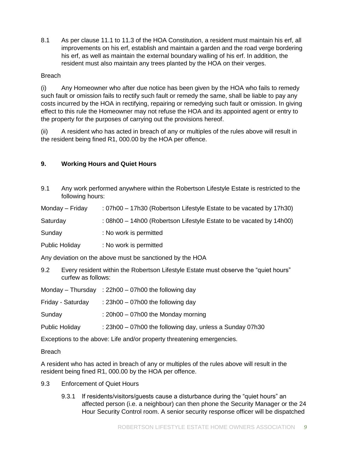8.1 As per clause 11.1 to 11.3 of the HOA Constitution, a resident must maintain his erf, all improvements on his erf, establish and maintain a garden and the road verge bordering his erf, as well as maintain the external boundary walling of his erf. In addition, the resident must also maintain any trees planted by the HOA on their verges.

# Breach

(i) Any Homeowner who after due notice has been given by the HOA who fails to remedy such fault or omission fails to rectify such fault or remedy the same, shall be liable to pay any costs incurred by the HOA in rectifying, repairing or remedying such fault or omission. In giving effect to this rule the Homeowner may not refuse the HOA and its appointed agent or entry to the property for the purposes of carrying out the provisions hereof.

(ii) A resident who has acted in breach of any or multiples of the rules above will result in the resident being fined R1, 000.00 by the HOA per offence.

# **9. Working Hours and Quiet Hours**

9.1 Any work performed anywhere within the Robertson Lifestyle Estate is restricted to the following hours:

Monday – Friday : 07h00 – 17h30 (Robertson Lifestyle Estate to be vacated by 17h30)

Saturday : 08h00 – 14h00 (Robertson Lifestyle Estate to be vacated by 14h00)

Sunday : No work is permitted

Public Holiday : No work is permitted

Any deviation on the above must be sanctioned by the HOA

9.2 Every resident within the Robertson Lifestyle Estate must observe the "quiet hours" curfew as follows:

|                                                                        | Monday – Thursday : 22h00 – 07h00 the following day      |  |  |  |
|------------------------------------------------------------------------|----------------------------------------------------------|--|--|--|
| Friday - Saturday                                                      | : $23h00 - 07h00$ the following day                      |  |  |  |
| Sunday                                                                 | : $20h00 - 07h00$ the Monday morning                     |  |  |  |
| Public Holiday                                                         | : 23h00 - 07h00 the following day, unless a Sunday 07h30 |  |  |  |
| Exceptions to the above: Life and/or property threatening emergencies. |                                                          |  |  |  |

**Breach** 

A resident who has acted in breach of any or multiples of the rules above will result in the resident being fined R1, 000.00 by the HOA per offence.

- 9.3 Enforcement of Quiet Hours
	- 9.3.1 If residents/visitors/guests cause a disturbance during the "quiet hours" an affected person (i.e. a neighbour) can then phone the Security Manager or the 24 Hour Security Control room. A senior security response officer will be dispatched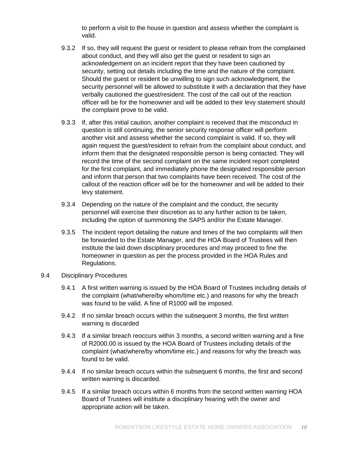to perform a visit to the house in question and assess whether the complaint is valid.

- 9.3.2 If so, they will request the guest or resident to please refrain from the complained about conduct, and they will also get the guest or resident to sign an acknowledgement on an incident report that they have been cautioned by security, setting out details including the time and the nature of the complaint. Should the guest or resident be unwilling to sign such acknowledgment, the security personnel will be allowed to substitute it with a declaration that they have verbally cautioned the guest/resident. The cost of the call out of the reaction officer will be for the homeowner and will be added to their levy statement should the complaint prove to be valid.
- 9.3.3 If, after this initial caution, another complaint is received that the misconduct in question is still continuing, the senior security response officer will perform another visit and assess whether the second complaint is valid. If so, they will again request the guest/resident to refrain from the complaint about conduct, and inform them that the designated responsible person is being contacted. They will record the time of the second complaint on the same incident report completed for the first complaint, and immediately phone the designated responsible person and inform that person that two complaints have been received. The cost of the callout of the reaction officer will be for the homeowner and will be added to their levy statement.
- 9.3.4 Depending on the nature of the complaint and the conduct, the security personnel will exercise their discretion as to any further action to be taken, including the option of summoning the SAPS and/or the Estate Manager.
- 9.3.5 The incident report detailing the nature and times of the two complaints will then be forwarded to the Estate Manager, and the HOA Board of Trustees will then institute the laid down disciplinary procedures and may proceed to fine the homeowner in question as per the process provided in the HOA Rules and Regulations.

#### 9.4 Disciplinary Procedures

- 9.4.1 A first written warning is issued by the HOA Board of Trustees including details of the complaint (what/where/by whom/time etc.) and reasons for why the breach was found to be valid. A fine of R1000 will be imposed.
- 9.4.2 If no similar breach occurs within the subsequent 3 months, the first written warning is discarded
- 9.4.3 If a similar breach reoccurs within 3 months, a second written warning and a fine of R2000.00 is issued by the HOA Board of Trustees including details of the complaint (what/where/by whom/time etc.) and reasons for why the breach was found to be valid.
- 9.4.4 If no similar breach occurs within the subsequent 6 months, the first and second written warning is discarded.
- 9.4.5 If a similar breach occurs within 6 months from the second written warning HOA Board of Trustees will institute a disciplinary hearing with the owner and appropriate action will be taken.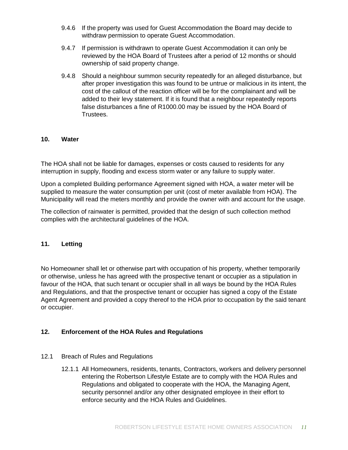- 9.4.6 If the property was used for Guest Accommodation the Board may decide to withdraw permission to operate Guest Accommodation.
- 9.4.7 If permission is withdrawn to operate Guest Accommodation it can only be reviewed by the HOA Board of Trustees after a period of 12 months or should ownership of said property change.
- 9.4.8 Should a neighbour summon security repeatedly for an alleged disturbance, but after proper investigation this was found to be untrue or malicious in its intent, the cost of the callout of the reaction officer will be for the complainant and will be added to their levy statement. If it is found that a neighbour repeatedly reports false disturbances a fine of R1000.00 may be issued by the HOA Board of Trustees.

## **10. Water**

The HOA shall not be liable for damages, expenses or costs caused to residents for any interruption in supply, flooding and excess storm water or any failure to supply water.

Upon a completed Building performance Agreement signed with HOA, a water meter will be supplied to measure the water consumption per unit (cost of meter available from HOA). The Municipality will read the meters monthly and provide the owner with and account for the usage.

The collection of rainwater is permitted, provided that the design of such collection method complies with the architectural guidelines of the HOA.

#### **11. Letting**

No Homeowner shall let or otherwise part with occupation of his property, whether temporarily or otherwise, unless he has agreed with the prospective tenant or occupier as a stipulation in favour of the HOA, that such tenant or occupier shall in all ways be bound by the HOA Rules and Regulations, and that the prospective tenant or occupier has signed a copy of the Estate Agent Agreement and provided a copy thereof to the HOA prior to occupation by the said tenant or occupier.

## **12. Enforcement of the HOA Rules and Regulations**

- 12.1 Breach of Rules and Regulations
	- 12.1.1 All Homeowners, residents, tenants, Contractors, workers and delivery personnel entering the Robertson Lifestyle Estate are to comply with the HOA Rules and Regulations and obligated to cooperate with the HOA, the Managing Agent, security personnel and/or any other designated employee in their effort to enforce security and the HOA Rules and Guidelines.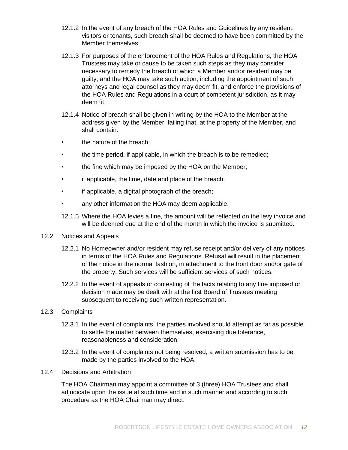- 12.1.2 In the event of any breach of the HOA Rules and Guidelines by any resident, visitors or tenants, such breach shall be deemed to have been committed by the Member themselves.
- 12.1.3 For purposes of the enforcement of the HOA Rules and Regulations, the HOA Trustees may take or cause to be taken such steps as they may consider necessary to remedy the breach of which a Member and/or resident may be guilty, and the HOA may take such action, including the appointment of such attorneys and legal counsel as they may deem fit, and enforce the provisions of the HOA Rules and Regulations in a court of competent jurisdiction, as it may deem fit.
- 12.1.4 Notice of breach shall be given in writing by the HOA to the Member at the address given by the Member, failing that, at the property of the Member, and shall contain:
- the nature of the breach:
- the time period, if applicable, in which the breach is to be remedied;
- the fine which may be imposed by the HOA on the Member;
- if applicable, the time, date and place of the breach;
- if applicable, a digital photograph of the breach;
- any other information the HOA may deem applicable.
- 12.1.5 Where the HOA levies a fine, the amount will be reflected on the levy invoice and will be deemed due at the end of the month in which the invoice is submitted.
- 12.2 Notices and Appeals
	- 12.2.1 No Homeowner and/or resident may refuse receipt and/or delivery of any notices in terms of the HOA Rules and Regulations. Refusal will result in the placement of the notice in the normal fashion, in attachment to the front door and/or gate of the property. Such services will be sufficient services of such notices.
	- 12.2.2 In the event of appeals or contesting of the facts relating to any fine imposed or decision made may be dealt with at the first Board of Trustees meeting subsequent to receiving such written representation.
- 12.3 Complaints
	- 12.3.1 In the event of complaints, the parties involved should attempt as far as possible to settle the matter between themselves, exercising due tolerance, reasonableness and consideration.
	- 12.3.2 In the event of complaints not being resolved, a written submission has to be made by the parties involved to the HOA.
- 12.4 Decisions and Arbitration

The HOA Chairman may appoint a committee of 3 (three) HOA Trustees and shall adjudicate upon the issue at such time and in such manner and according to such procedure as the HOA Chairman may direct.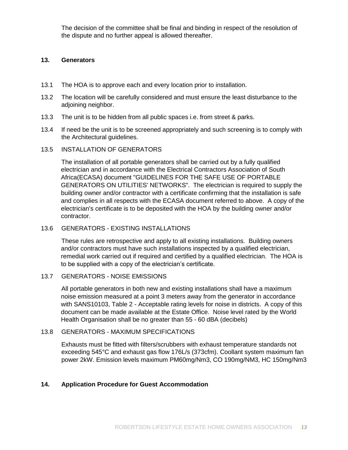The decision of the committee shall be final and binding in respect of the resolution of the dispute and no further appeal is allowed thereafter.

## **13. Generators**

- 13.1 The HOA is to approve each and every location prior to installation.
- 13.2 The location will be carefully considered and must ensure the least disturbance to the adjoining neighbor.
- 13.3 The unit is to be hidden from all public spaces i.e. from street & parks.
- 13.4 If need be the unit is to be screened appropriately and such screening is to comply with the Architectural guidelines.

#### 13.5 INSTALLATION OF GENERATORS

The installation of all portable generators shall be carried out by a fully qualified electrician and in accordance with the Electrical Contractors Association of South Africa(ECASA) document "GUIDELINES FOR THE SAFE USE OF PORTABLE GENERATORS ON UTILITIES' NETWORKS". The electrician is required to supply the building owner and/or contractor with a certificate confirming that the installation is safe and complies in all respects with the ECASA document referred to above. A copy of the electrician's certificate is to be deposited with the HOA by the building owner and/or contractor.

#### 13.6 GENERATORS - EXISTING INSTALLATIONS

These rules are retrospective and apply to all existing installations. Building owners and/or contractors must have such installations inspected by a qualified electrician, remedial work carried out if required and certified by a qualified electrician. The HOA is to be supplied with a copy of the electrician's certificate.

## 13.7 GENERATORS - NOISE EMISSIONS

All portable generators in both new and existing installations shall have a maximum noise emission measured at a point 3 meters away from the generator in accordance with SANS10103, Table 2 - Acceptable rating levels for noise in districts. A copy of this document can be made available at the Estate Office. Noise level rated by the World Health Organisation shall be no greater than 55 - 60 dBA (decibels)

## 13.8 GENERATORS - MAXIMUM SPECIFICATIONS

Exhausts must be fitted with filters/scrubbers with exhaust temperature standards not exceeding 545°C and exhaust gas flow 176L/s (373cfm). Coollant system maximum fan power 2kW. Emission levels maximum PM60mg/Nm3, CO 190mg/NM3, HC 150mg/Nm3

## **14. Application Procedure for Guest Accommodation**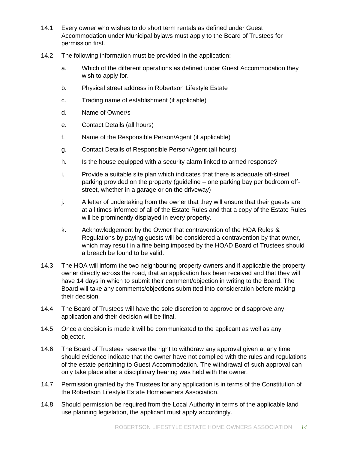- 14.1 Every owner who wishes to do short term rentals as defined under Guest Accommodation under Municipal bylaws must apply to the Board of Trustees for permission first.
- 14.2 The following information must be provided in the application:
	- a. Which of the different operations as defined under Guest Accommodation they wish to apply for.
	- b. Physical street address in Robertson Lifestyle Estate
	- c. Trading name of establishment (if applicable)
	- d. Name of Owner/s
	- e. Contact Details (all hours)
	- f. Name of the Responsible Person/Agent (if applicable)
	- g. Contact Details of Responsible Person/Agent (all hours)
	- h. Is the house equipped with a security alarm linked to armed response?
	- i. Provide a suitable site plan which indicates that there is adequate off-street parking provided on the property (guideline – one parking bay per bedroom offstreet, whether in a garage or on the driveway)
	- j. A letter of undertaking from the owner that they will ensure that their guests are at all times informed of all of the Estate Rules and that a copy of the Estate Rules will be prominently displayed in every property.
	- k. Acknowledgement by the Owner that contravention of the HOA Rules & Regulations by paying guests will be considered a contravention by that owner, which may result in a fine being imposed by the HOAD Board of Trustees should a breach be found to be valid.
- 14.3 The HOA will inform the two neighbouring property owners and if applicable the property owner directly across the road, that an application has been received and that they will have 14 days in which to submit their comment/objection in writing to the Board. The Board will take any comments/objections submitted into consideration before making their decision.
- 14.4 The Board of Trustees will have the sole discretion to approve or disapprove any application and their decision will be final.
- 14.5 Once a decision is made it will be communicated to the applicant as well as any objector.
- 14.6 The Board of Trustees reserve the right to withdraw any approval given at any time should evidence indicate that the owner have not complied with the rules and regulations of the estate pertaining to Guest Accommodation. The withdrawal of such approval can only take place after a disciplinary hearing was held with the owner.
- 14.7 Permission granted by the Trustees for any application is in terms of the Constitution of the Robertson Lifestyle Estate Homeowners Association.
- 14.8 Should permission be required from the Local Authority in terms of the applicable land use planning legislation, the applicant must apply accordingly.